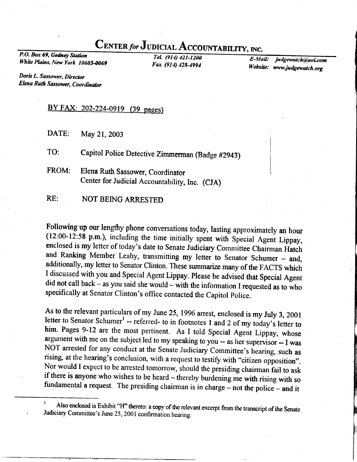# CENTER for JUDICIAL ACCOUNTABILITY, INC.

P.O. Box 69, Gedney Station White Plains, New York 10605-0069

Tel. (914) 421-1200 Fax (914) 428-4994

E-MaiL' Website: www.judgewatch.org judgewatch@aol.com

Doris L. Sassower, Director Elena Ruth Sassower, Coordinator

### BY FAX: 202-224-0919 (39 pages)

DATE: May 21, 2003

TO: Capitol Police Detective Zimmerman (Badge #2943)

FROM: Elena Ruth Sassower, Coordinator Center for Judicial Accountability, Inc. (CJA)

RE: NOT BEING ARRESTED

Following up our lengthy phone conversations today, lasting approximately an hour (12:00-12:58 p.m.), including the time initially spent with Special Agent Lippay, enclosed is my letter of today's date to Senate Judiciary and Ranking Member Leahy, transmitting my letter to Senator Schumer – and, additionally, my letter to Senator Clinton. These summarize many of the FACTS which I discussed with you and Special Agent Lippay. Please be advise did not call back – as you said she would – with the information I requested as to who specifically at Senator Clinton's office contacted the Capitol Police.

As to the relevant particulars of my June 25, 1996 arrest, enclosed is my July 3, 2001<br>letter to Senator Schumer<sup>1</sup> -- referred- to in footnotes 1 and 2 of my today's letter to<br>him. Pages 9-12 are the most pertinent. As I NOT arrested for any conduct at the Senate Judiciary Committee's hearing, such as rising, at the hearing's conclusion, with a request to testify with "citizen opposition". Nor would I expect to be arrested tomorrow, should

 $'$  Also enclosed is Exhibit "H" thereto: Also enclosed is Exhibit "H" thereto: a copy of the relevant excerpt from the transcript of the Senate Judiciary Committee's June 25, 2001 confirmation hearing.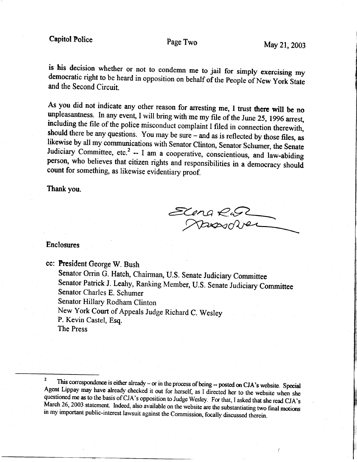is his decision whether or not to condemn me to jail for simply exercising my democratic right to be heard in opposition on behalf of the People of New York State and the Second Circuit.

As you did not indicate any other reason for arresting me, I trust there will be no unpleasantness. In any event, I will bring with me my file of the June 25, 1996 arrest, including the file of the police misconduct compla should there be any questions. You may be sure  $-$  and as is reflected by those files, as likewise by all my communications with Senator Clinton, Senator Schumer, the Senate Judiciary Committee, etc.<sup>2</sup> -- I am a cooperative, conscientious, and law-abiding person, who believes that citizen rights and responsibilities in a democracy should count for something, as likewise evidentiary proof.

Thank you.

Elena Rus

### Enclosures

cc: President George W. Bush

Senator Orrin G. Hatch, Chairman, U.S. Senate Judiciary Committee Senator Patrick J. Leahy, Ranking Member, U.S. Senate Judiciary Committee Senator Charles E. Schumer Senator Hillary Rodham Clinton New York Court of Appeals Judge Richard C. Wesley P. Kevin Castel, Esq. The Press

<sup>&</sup>lt;sup>2</sup> This correspondence is either already – or in the process of being -- posted on CJA's website. Special Agent Lippay may have already checked it out for herself, as I directed her to the website when she questioned me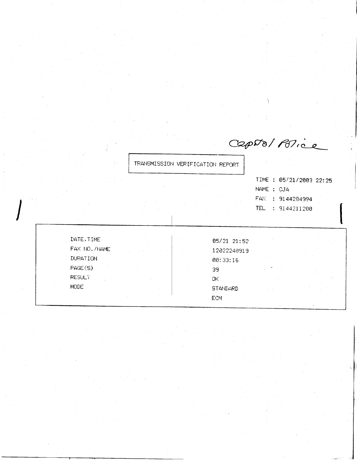TRANSMISSION VERIFICATION REPORT

TIME : 05/21/2003 22:25 NAME : CJA FAX : 9144284994 TEL : 9144211200

CapDo/Police

DATE, TIME FAX NO. /NAME DURATION PAGE(S) **RESULT** MODE.

05/21 21:52 12022240919 00:33:16 39 OK. **STANDARD** 

## ECM